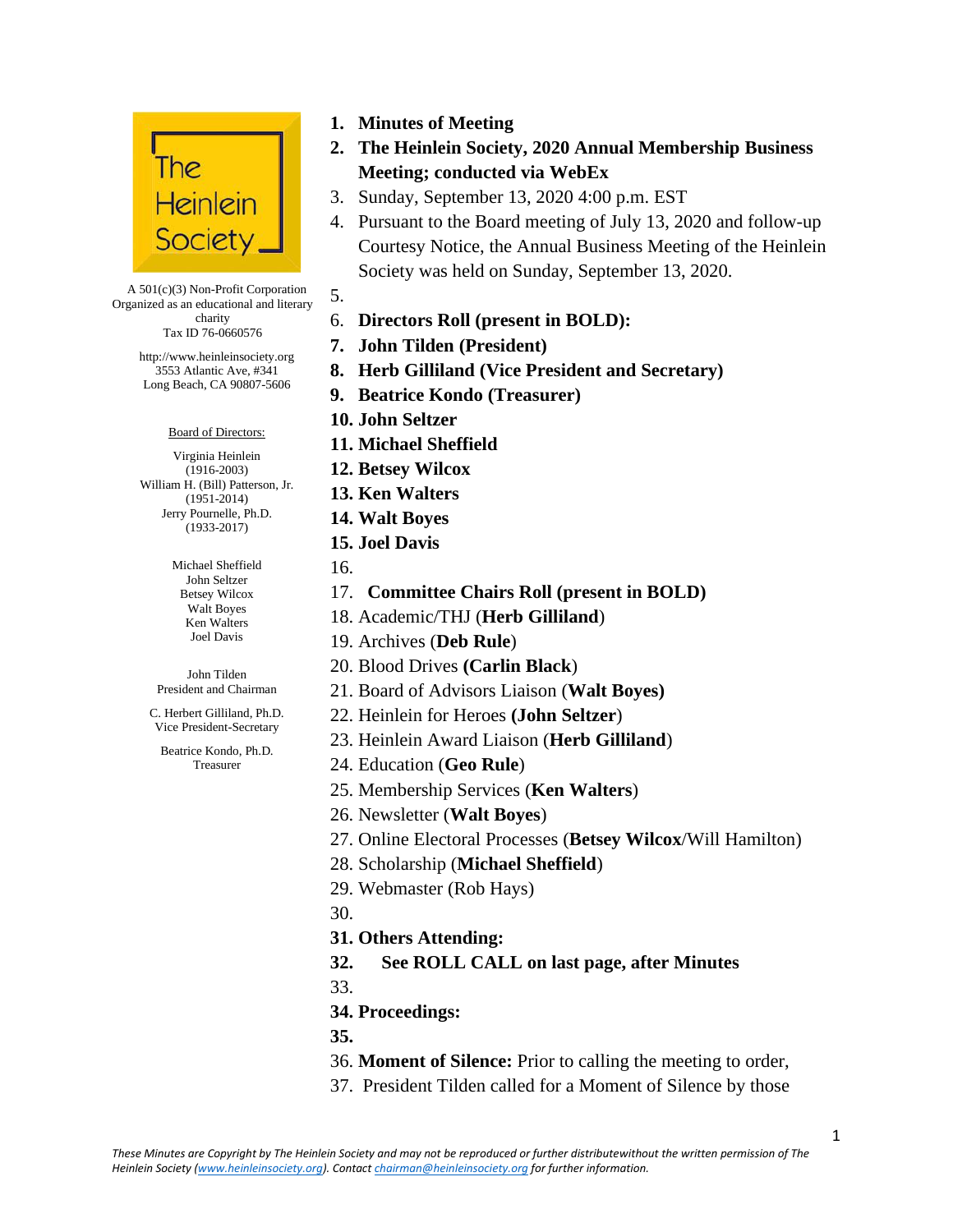

A 501(c)(3) Non-Profit Corporation Organized as an educational and literary charity

Tax ID 76-0660576

http://www.heinleinsociety.org 3553 Atlantic Ave, #341 Long Beach, CA 90807-5606

Board of Directors:

Virginia Heinlein (1916-2003) William H. (Bill) Patterson, Jr. (1951-2014) Jerry Pournelle, Ph.D. (1933-2017)

> Michael Sheffield John Seltzer Betsey Wilcox Walt Boyes Ken Walters Joel Davis

John Tilden President and Chairman

C. Herbert Gilliland, Ph.D. Vice President-Secretary

Beatrice Kondo, Ph.D. Treasurer

- **1. Minutes of Meeting**
- **2. The Heinlein Society, 2020 Annual Membership Business Meeting; conducted via WebEx**
- 3. Sunday, September 13, 2020 4:00 p.m. EST
- 4. Pursuant to the Board meeting of July 13, 2020 and follow-up Courtesy Notice, the Annual Business Meeting of the Heinlein Society was held on Sunday, September 13, 2020.
- 5.
- 6. **Directors Roll (present in BOLD):**
- **7. John Tilden (President)**
- **8. Herb Gilliland (Vice President and Secretary)**
- **9. Beatrice Kondo (Treasurer)**
- **10. John Seltzer**
- **11. Michael Sheffield**
- **12. Betsey Wilcox**
- **13. Ken Walters**
- **14. Walt Boyes**
- **15. Joel Davis**
- 16.
- 17. **Committee Chairs Roll (present in BOLD)**
- 18. Academic/THJ (**Herb Gilliland**)
- 19. Archives (**Deb Rule**)
- 20. Blood Drives **(Carlin Black**)
- 21. Board of Advisors Liaison (**Walt Boyes)**
- 22. Heinlein for Heroes **(John Seltzer**)
- 23. Heinlein Award Liaison (**Herb Gilliland**)
- 24. Education (**Geo Rule**)
- 25. Membership Services (**Ken Walters**)
- 26. Newsletter (**Walt Boyes**)
- 27. Online Electoral Processes (**Betsey Wilcox**/Will Hamilton)
- 28. Scholarship (**Michael Sheffield**)
- 29. Webmaster (Rob Hays)
- 30.
- **31. Others Attending:**
- **32. See ROLL CALL on last page, after Minutes**
- 33.
- **34. Proceedings:**
- **35.**
- 36. **Moment of Silence:** Prior to calling the meeting to order,
- 37. President Tilden called for a Moment of Silence by those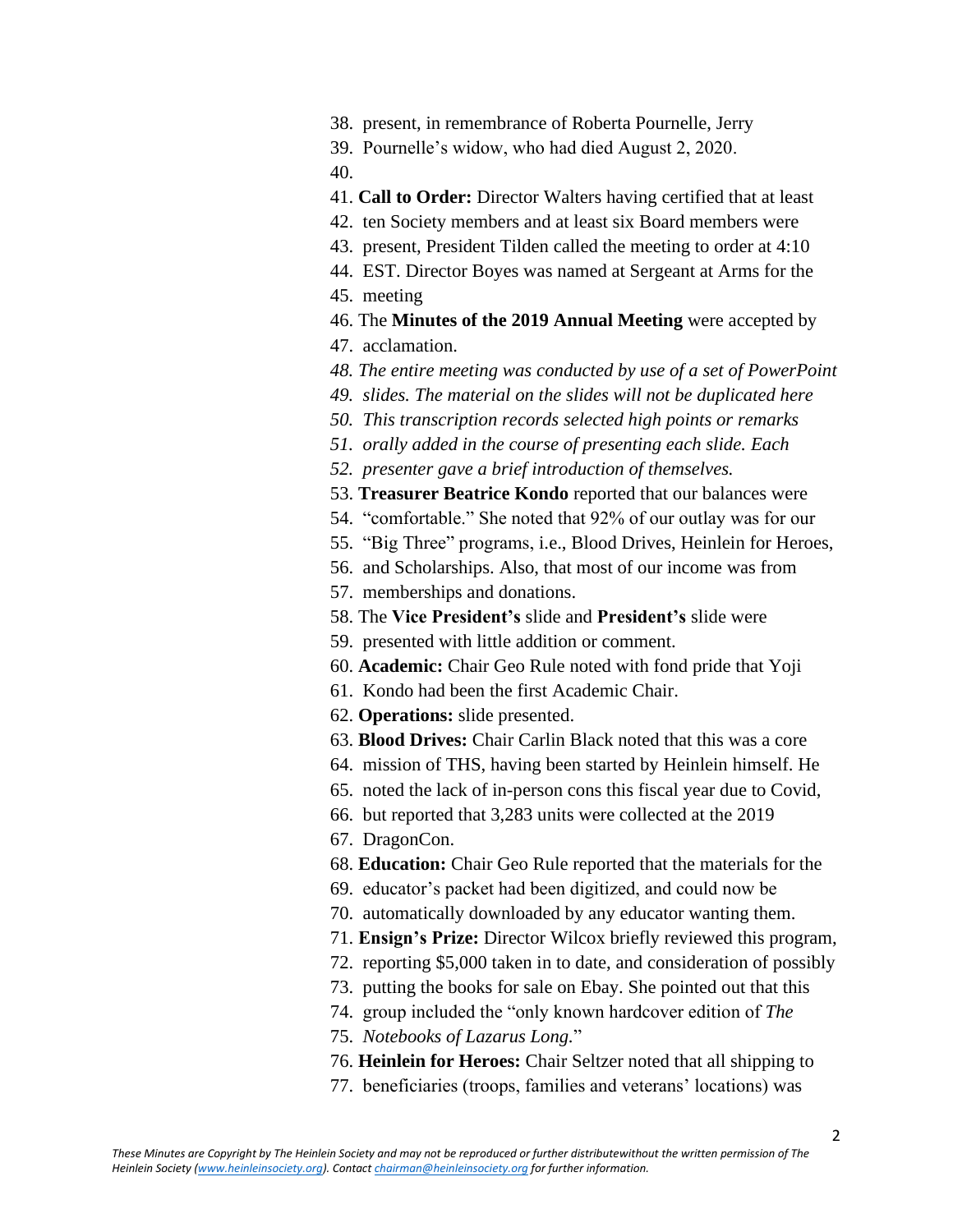- 38. present, in remembrance of Roberta Pournelle, Jerry
- 39. Pournelle's widow, who had died August 2, 2020.

40.

- 41. **Call to Order:** Director Walters having certified that at least
- 42. ten Society members and at least six Board members were
- 43. present, President Tilden called the meeting to order at 4:10
- 44. EST. Director Boyes was named at Sergeant at Arms for the
- 45. meeting
- 46. The **Minutes of the 2019 Annual Meeting** were accepted by
- 47. acclamation.
- *48. The entire meeting was conducted by use of a set of PowerPoint*
- *49. slides. The material on the slides will not be duplicated here*
- *50. This transcription records selected high points or remarks*
- *51. orally added in the course of presenting each slide. Each*
- *52. presenter gave a brief introduction of themselves.*
- 53. **Treasurer Beatrice Kondo** reported that our balances were
- 54. "comfortable." She noted that 92% of our outlay was for our
- 55. "Big Three" programs, i.e., Blood Drives, Heinlein for Heroes,
- 56. and Scholarships. Also, that most of our income was from
- 57. memberships and donations.
- 58. The **Vice President's** slide and **President's** slide were
- 59. presented with little addition or comment.
- 60. **Academic:** Chair Geo Rule noted with fond pride that Yoji
- 61. Kondo had been the first Academic Chair.
- 62. **Operations:** slide presented.
- 63. **Blood Drives:** Chair Carlin Black noted that this was a core
- 64. mission of THS, having been started by Heinlein himself. He
- 65. noted the lack of in-person cons this fiscal year due to Covid,
- 66. but reported that 3,283 units were collected at the 2019
- 67. DragonCon.
- 68. **Education:** Chair Geo Rule reported that the materials for the
- 69. educator's packet had been digitized, and could now be
- 70. automatically downloaded by any educator wanting them.
- 71. **Ensign's Prize:** Director Wilcox briefly reviewed this program,
- 72. reporting \$5,000 taken in to date, and consideration of possibly
- 73. putting the books for sale on Ebay. She pointed out that this
- 74. group included the "only known hardcover edition of *The*
- 75. *Notebooks of Lazarus Long.*"
- 76. **Heinlein for Heroes:** Chair Seltzer noted that all shipping to
- 77. beneficiaries (troops, families and veterans' locations) was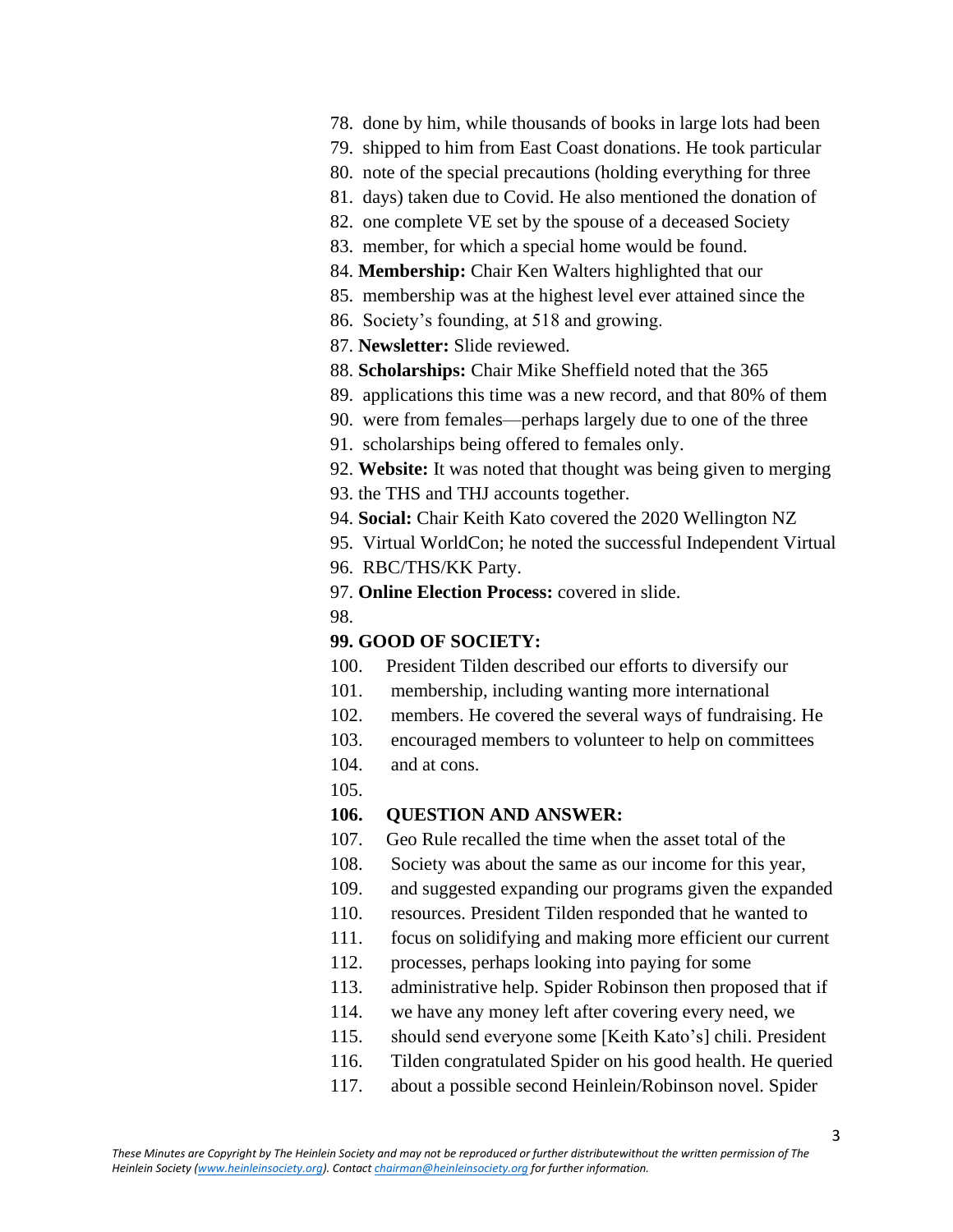- 78. done by him, while thousands of books in large lots had been
- 79. shipped to him from East Coast donations. He took particular
- 80. note of the special precautions (holding everything for three
- 81. days) taken due to Covid. He also mentioned the donation of
- 82. one complete VE set by the spouse of a deceased Society
- 83. member, for which a special home would be found.
- 84. **Membership:** Chair Ken Walters highlighted that our
- 85. membership was at the highest level ever attained since the
- 86. Society's founding, at 518 and growing.
- 87. **Newsletter:** Slide reviewed.
- 88. **Scholarships:** Chair Mike Sheffield noted that the 365
- 89. applications this time was a new record, and that 80% of them
- 90. were from females—perhaps largely due to one of the three
- 91. scholarships being offered to females only.
- 92. **Website:** It was noted that thought was being given to merging
- 93. the THS and THJ accounts together.
- 94. **Social:** Chair Keith Kato covered the 2020 Wellington NZ
- 95. Virtual WorldCon; he noted the successful Independent Virtual
- 96. RBC/THS/KK Party.
- 97. **Online Election Process:** covered in slide.
- 98.

## **99. GOOD OF SOCIETY:**

- 100. President Tilden described our efforts to diversify our
- 101. membership, including wanting more international
- 102. members. He covered the several ways of fundraising. He
- 103. encouraged members to volunteer to help on committees
- 104. and at cons.
- 105.

## **106. QUESTION AND ANSWER:**

- 107. Geo Rule recalled the time when the asset total of the
- 108. Society was about the same as our income for this year,
- 109. and suggested expanding our programs given the expanded
- 110. resources. President Tilden responded that he wanted to
- 111. focus on solidifying and making more efficient our current
- 112. processes, perhaps looking into paying for some
- 113. administrative help. Spider Robinson then proposed that if
- 114. we have any money left after covering every need, we
- 115. should send everyone some [Keith Kato's] chili. President
- 116. Tilden congratulated Spider on his good health. He queried
- 117. about a possible second Heinlein/Robinson novel. Spider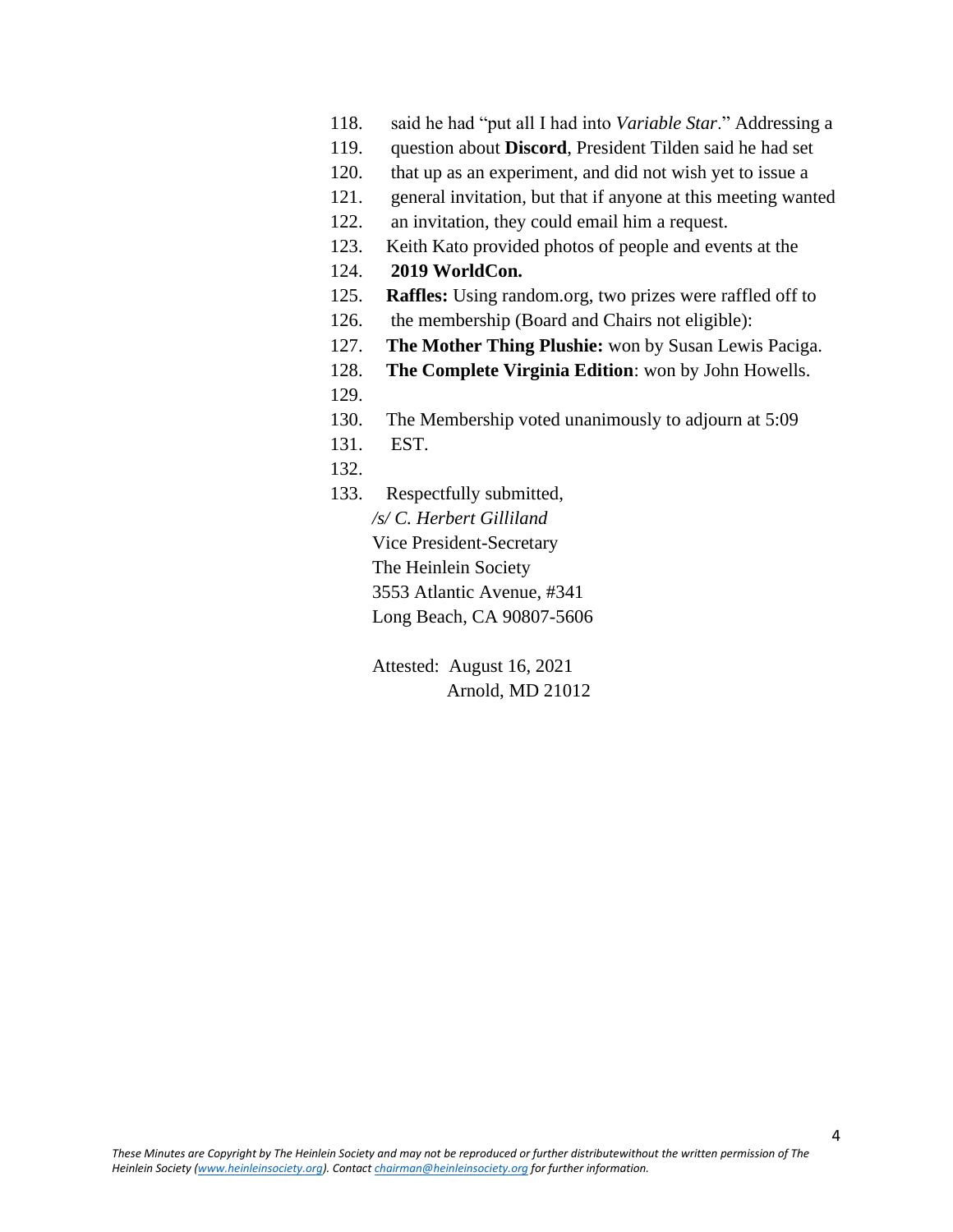- 118. said he had "put all I had into *Variable Star*." Addressing a
- 119. question about **Discord**, President Tilden said he had set
- 120. that up as an experiment, and did not wish yet to issue a
- 121. general invitation, but that if anyone at this meeting wanted
- 122. an invitation, they could email him a request.
- 123. Keith Kato provided photos of people and events at the
- 124. **2019 WorldCon.**
- 125. **Raffles:** Using random.org, two prizes were raffled off to
- 126. the membership (Board and Chairs not eligible):
- 127. **The Mother Thing Plushie:** won by Susan Lewis Paciga.
- 128. **The Complete Virginia Edition**: won by John Howells.
- 129.
- 130. The Membership voted unanimously to adjourn at 5:09
- 131. EST.
- 132.
- 133. Respectfully submitted,

*/s/ C. Herbert Gilliland* Vice President-Secretary The Heinlein Society 3553 Atlantic Avenue, #341 Long Beach, CA 90807-5606

Attested: August 16, 2021 Arnold, MD 21012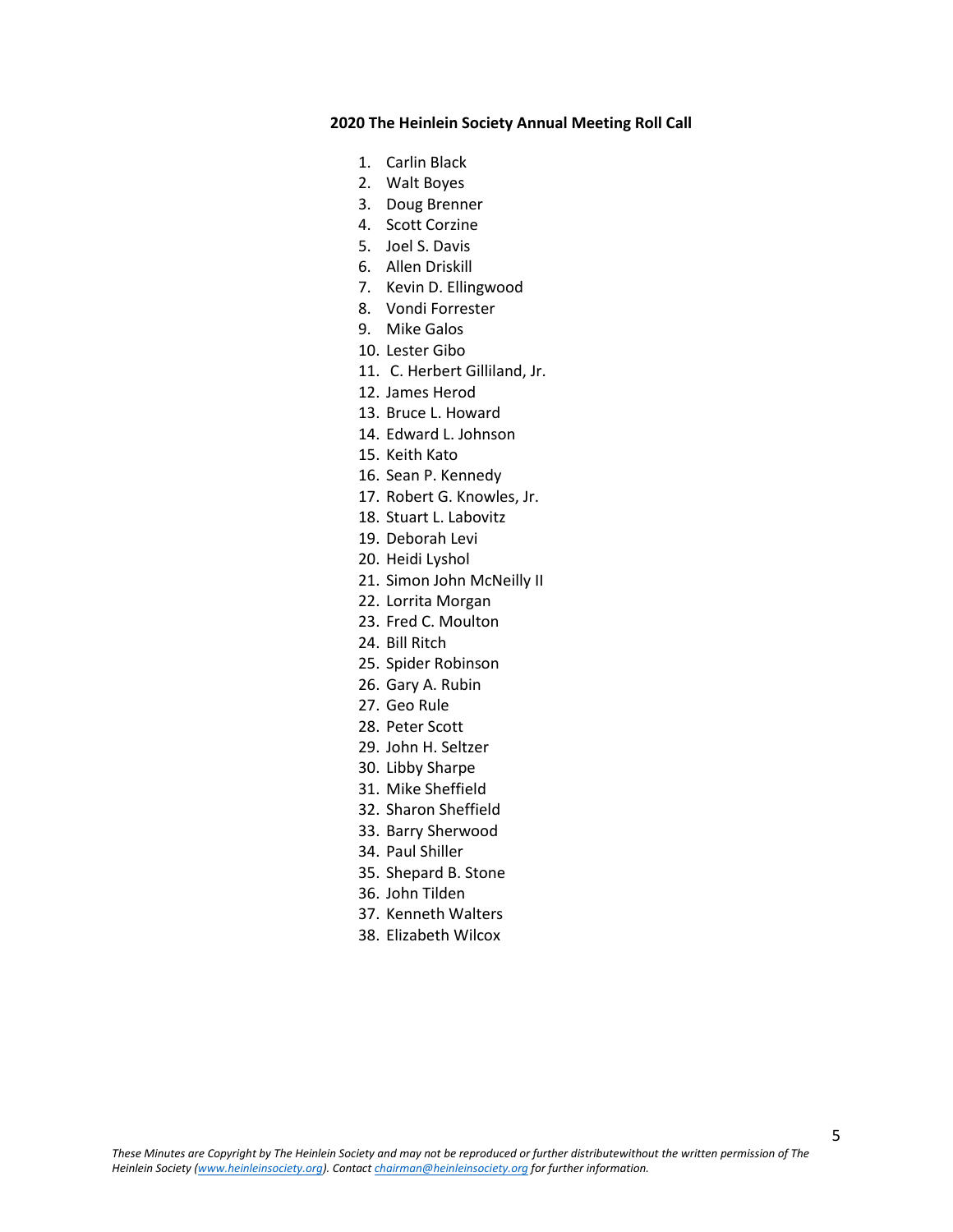## **2020 The Heinlein Society Annual Meeting Roll Call**

- 1. Carlin Black
- 2. Walt Boyes
- 3. Doug Brenner
- 4. Scott Corzine
- 5. Joel S. Davis
- 6. Allen Driskill
- 7. Kevin D. Ellingwood
- 8. Vondi Forrester
- 9. Mike Galos
- 10. Lester Gibo
- 11. C. Herbert Gilliland, Jr.
- 12. James Herod
- 13. Bruce L. Howard
- 14. Edward L. Johnson
- 15. Keith Kato
- 16. Sean P. Kennedy
- 17. Robert G. Knowles, Jr.
- 18. Stuart L. Labovitz
- 19. Deborah Levi
- 20. Heidi Lyshol
- 21. Simon John McNeilly II
- 22. Lorrita Morgan
- 23. Fred C. Moulton
- 24. Bill Ritch
- 25. Spider Robinson
- 26. Gary A. Rubin
- 27. Geo Rule
- 28. Peter Scott
- 29. John H. Seltzer
- 30. Libby Sharpe
- 31. Mike Sheffield
- 32. Sharon Sheffield
- 33. Barry Sherwood
- 34. Paul Shiller
- 35. Shepard B. Stone
- 36. John Tilden
- 37. Kenneth Walters
- 38. Elizabeth Wilcox